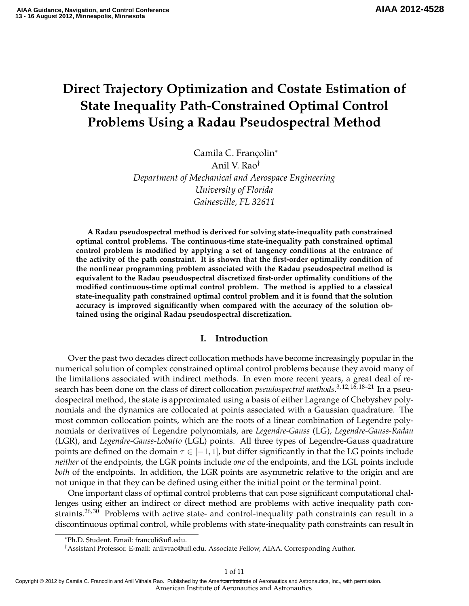# **Direct Trajectory Optimization and Costate Estimation of State Inequality Path-Constrained Optimal Control Problems Using a Radau Pseudospectral Method**

Camila C. Françolin<sup>∗</sup> Anil V. Rao† *Department of Mechanical and Aerospace Engineering University of Florida Gainesville, FL 32611*

**A Radau pseudospectral method is derived for solving state-inequality path constrained optimal control problems. The continuous-time state-inequality path constrained optimal control problem is modified by applying a set of tangency conditions at the entrance of the activity of the path constraint. It is shown that the first-order optimality condition of the nonlinear programming problem associated with the Radau pseudospectral method is equivalent to the Radau pseudospectral discretized first-order optimality conditions of the modified continuous-time optimal control problem. The method is applied to a classical state-inequality path constrained optimal control problem and it is found that the solution accuracy is improved significantly when compared with the accuracy of the solution obtained using the original Radau pseudospectral discretization.**

## **I. Introduction**

Over the past two decades direct collocation methods have become increasingly popular in the numerical solution of complex constrained optimal control problems because they avoid many of the limitations associated with indirect methods. In even more recent years, a great deal of research has been done on the class of direct collocation *pseudospectral methods*. 3, 12, 16, 18–21 In a pseudospectral method, the state is approximated using a basis of either Lagrange of Chebyshev polynomials and the dynamics are collocated at points associated with a Gaussian quadrature. The most common collocation points, which are the roots of a linear combination of Legendre polynomials or derivatives of Legendre polynomials, are *Legendre-Gauss* (LG), *Legendre-Gauss-Radau* (LGR), and *Legendre-Gauss-Lobatto* (LGL) points. All three types of Legendre-Gauss quadrature points are defined on the domain  $\tau \in [-1, 1]$ , but differ significantly in that the LG points include *neither* of the endpoints, the LGR points include *one* of the endpoints, and the LGL points include *both* of the endpoints. In addition, the LGR points are asymmetric relative to the origin and are not unique in that they can be defined using either the initial point or the terminal point.

One important class of optimal control problems that can pose significant computational challenges using either an indirect or direct method are problems with active inequality path constraints.<sup>26, 30</sup> Problems with active state- and control-inequality path constraints can result in a discontinuous optimal control, while problems with state-inequality path constraints can result in

American Institute of Aeronautics and Astronautics Copyright © 2012 by Camila C. Francolin and Anil Vithala Rao. Published by the American Institute of Aeronautics and Astronautics, Inc., with permission.

<sup>∗</sup>Ph.D. Student. Email: francoli@ufl.edu.

<sup>†</sup>Assistant Professor. E-mail: anilvrao@ufl.edu. Associate Fellow, AIAA. Corresponding Author.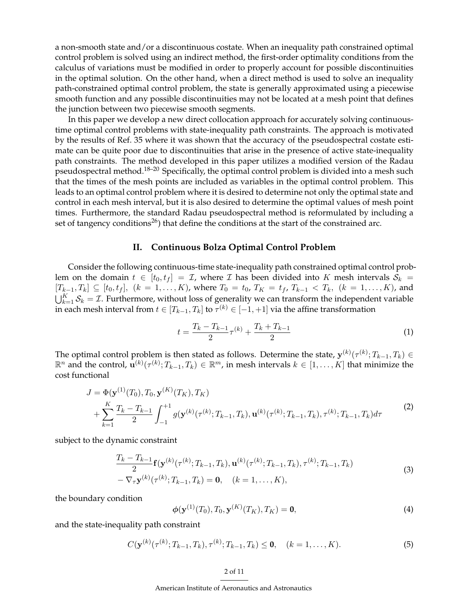a non-smooth state and/or a discontinuous costate. When an inequality path constrained optimal control problem is solved using an indirect method, the first-order optimality conditions from the calculus of variations must be modified in order to properly account for possible discontinuities in the optimal solution. On the other hand, when a direct method is used to solve an inequality path-constrained optimal control problem, the state is generally approximated using a piecewise smooth function and any possible discontinuities may not be located at a mesh point that defines the junction between two piecewise smooth segments.

In this paper we develop a new direct collocation approach for accurately solving continuoustime optimal control problems with state-inequality path constraints. The approach is motivated by the results of Ref. 35 where it was shown that the accuracy of the pseudospectral costate estimate can be quite poor due to discontinuities that arise in the presence of active state-inequality path constraints. The method developed in this paper utilizes a modified version of the Radau pseudospectral method.<sup>18-20</sup> Specifically, the optimal control problem is divided into a mesh such that the times of the mesh points are included as variables in the optimal control problem. This leads to an optimal control problem where it is desired to determine not only the optimal state and control in each mesh interval, but it is also desired to determine the optimal values of mesh point times. Furthermore, the standard Radau pseudospectral method is reformulated by including a set of tangency conditions<sup>26</sup>) that define the conditions at the start of the constrained arc.

### **II. Continuous Bolza Optimal Control Problem**

Consider the following continuous-time state-inequality path constrained optimal control problem on the domain  $t \in [t_0, t_f] = \mathcal{I}$ , where  $\mathcal I$  has been divided into K mesh intervals  $S_k =$  $[T_{k-1}, T_k] \subseteq [t_0, t_f], (k = 1, \ldots, K)$ , where  $T_0 = t_0$ ,  $T_K = t_f$ ,  $T_{k-1} < T_k$ ,  $(k = 1, \ldots, K)$ , and  $\bigcup_{k=1}^K S_k = \mathcal{I}$ . Furthermore, without loss of generality we can transform the independent variable in each mesh interval from  $t\in[T_{k-1},T_k]$  to  $\tau^{(k)}\in[-1,+1]$  via the affine transformation

$$
t = \frac{T_k - T_{k-1}}{2}\tau^{(k)} + \frac{T_k + T_{k-1}}{2} \tag{1}
$$

The optimal control problem is then stated as follows. Determine the state,  $\mathbf{y}^{(k)}(\tau^{(k)};T_{k-1},T_k)\in$  $\mathbb{R}^n$  and the control,  $\mathbf{u}^{(k)}(\tau^{(k)};T_{k-1},T_k)\in\mathbb{R}^m$ , in mesh intervals  $k\in[1,\ldots,K]$  that minimize the cost functional

$$
J = \Phi(\mathbf{y}^{(1)}(T_0), T_0, \mathbf{y}^{(K)}(T_K), T_K)
$$
  
+ 
$$
\sum_{k=1}^{K} \frac{T_k - T_{k-1}}{2} \int_{-1}^{+1} g(\mathbf{y}^{(k)}(\tau^{(k)}, T_{k-1}, T_k), \mathbf{u}^{(k)}(\tau^{(k)}; T_{k-1}, T_k), \tau^{(k)}; T_{k-1}, T_k) d\tau
$$
 (2)

subject to the dynamic constraint

$$
\frac{T_k - T_{k-1}}{2} \mathbf{f}(\mathbf{y}^{(k)}(\tau^{(k)}; T_{k-1}, T_k), \mathbf{u}^{(k)}(\tau^{(k)}; T_{k-1}, T_k), \tau^{(k)}; T_{k-1}, T_k) - \nabla_{\tau} \mathbf{y}^{(k)}(\tau^{(k)}; T_{k-1}, T_k) = \mathbf{0}, \quad (k = 1, \dots, K),
$$
\n(3)

the boundary condition

$$
\phi(\mathbf{y}^{(1)}(T_0), T_0, \mathbf{y}^{(K)}(T_K), T_K) = \mathbf{0},\tag{4}
$$

and the state-inequality path constraint

$$
C(\mathbf{y}^{(k)}(\tau^{(k)};T_{k-1},T_k),\tau^{(k)};T_{k-1},T_k) \leq \mathbf{0}, \quad (k=1,\ldots,K). \tag{5}
$$

### 2 of 11

American Institute of Aeronautics and Astronautics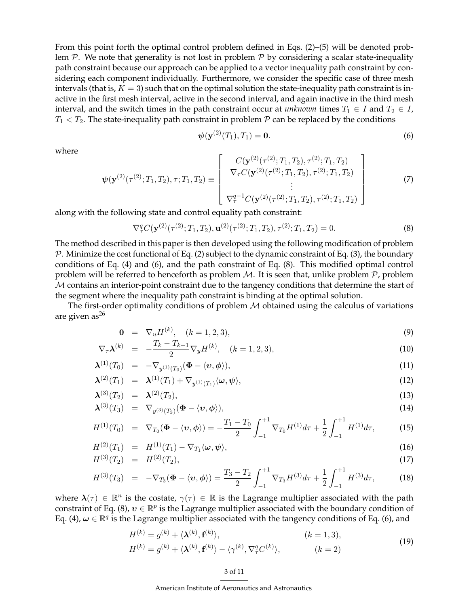From this point forth the optimal control problem defined in Eqs. (2)–(5) will be denoted problem  $P$ . We note that generality is not lost in problem  $P$  by considering a scalar state-inequality path constraint because our approach can be applied to a vector inequality path constraint by considering each component individually. Furthermore, we consider the specific case of three mesh intervals (that is,  $K = 3$ ) such that on the optimal solution the state-inequality path constraint is inactive in the first mesh interval, active in the second interval, and again inactive in the third mesh interval, and the switch times in the path constraint occur at *unknown* times  $T_1 \in I$  and  $T_2 \in I$ ,  $T_1 < T_2$ . The state-inequality path constraint in problem  $P$  can be replaced by the conditions

$$
\psi(\mathbf{y}^{(2)}(T_1), T_1) = \mathbf{0}.\tag{6}
$$

where

$$
\psi(\mathbf{y}^{(2)}(\tau^{(2)};T_1,T_2),\tau;T_1,T_2) \equiv \begin{bmatrix} C(\mathbf{y}^{(2)}(\tau^{(2)};T_1,T_2),\tau^{(2)};T_1,T_2) \\ \nabla_{\tau}C(\mathbf{y}^{(2)}(\tau^{(2)};T_1,T_2),\tau^{(2)};T_1,T_2) \\ \n\vdots \\ \nabla_{\tau}^{q-1}C(\mathbf{y}^{(2)}(\tau^{(2)};T_1,T_2),\tau^{(2)};T_1,T_2) \end{bmatrix}
$$
(7)

along with the following state and control equality path constraint:

$$
\nabla^q_\tau C(\mathbf{y}^{(2)}(\tau^{(2)}; T_1, T_2), \mathbf{u}^{(2)}(\tau^{(2)}; T_1, T_2), \tau^{(2)}; T_1, T_2) = 0.
$$
\n(8)

The method described in this paper is then developed using the following modification of problem  $\mathcal P$ . Minimize the cost functional of Eq. (2) subject to the dynamic constraint of Eq. (3), the boundary conditions of Eq. (4) and (6), and the path constraint of Eq. (8). This modified optimal control problem will be referred to henceforth as problem  $M$ . It is seen that, unlike problem  $P$ , problem M contains an interior-point constraint due to the tangency conditions that determine the start of the segment where the inequality path constraint is binding at the optimal solution.

The first-order optimality conditions of problem  $M$  obtained using the calculus of variations are given  $as^{26}$ 

$$
\mathbf{0} = \nabla_u H^{(k)}, \quad (k = 1, 2, 3), \tag{9}
$$

$$
\nabla_{\tau} \lambda^{(k)} = -\frac{T_k - T_{k-1}}{2} \nabla_y H^{(k)}, \quad (k = 1, 2, 3), \tag{10}
$$

$$
\boldsymbol{\lambda}^{(1)}(T_0) = -\nabla_{y^{(1)}(T_0)}(\boldsymbol{\Phi} - \langle \boldsymbol{v}, \boldsymbol{\phi} \rangle), \tag{11}
$$

$$
\boldsymbol{\lambda}^{(2)}(T_1) = \boldsymbol{\lambda}^{(1)}(T_1) + \nabla_{y^{(1)}(T_1)} \langle \boldsymbol{\omega}, \boldsymbol{\psi} \rangle, \tag{12}
$$

$$
\lambda^{(3)}(T_2) = \lambda^{(2)}(T_2), \tag{13}
$$

$$
\boldsymbol{\lambda}^{(3)}(T_3) = \nabla_{y^{(3)}(T_3)}(\boldsymbol{\Phi} - \langle \boldsymbol{v}, \boldsymbol{\phi} \rangle), \tag{14}
$$

$$
H^{(1)}(T_0) = \nabla_{T_0} (\Phi - \langle v, \phi \rangle) = -\frac{T_1 - T_0}{2} \int_{-1}^{+1} \nabla_{T_0} H^{(1)} d\tau + \frac{1}{2} \int_{-1}^{+1} H^{(1)} d\tau, \tag{15}
$$

$$
H^{(2)}(T_1) = H^{(1)}(T_1) - \nabla_{T_1} \langle \omega, \psi \rangle, \tag{16}
$$

$$
H^{(3)}(T_2) = H^{(2)}(T_2), \tag{17}
$$

$$
H^{(3)}(T_3) = -\nabla_{T_3}(\Phi - \langle v, \phi \rangle) = \frac{T_3 - T_2}{2} \int_{-1}^{+1} \nabla_{T_3} H^{(3)} d\tau + \frac{1}{2} \int_{-1}^{+1} H^{(3)} d\tau, \tag{18}
$$

where  $\lambda(\tau) \in \mathbb{R}^n$  is the costate,  $\gamma(\tau) \in \mathbb{R}$  is the Lagrange multiplier associated with the path constraint of Eq. (8),  $v \in \mathbb{R}^p$  is the Lagrange multiplier associated with the boundary condition of Eq. (4),  $\omega \in \mathbb{R}^q$  is the Lagrange multiplier associated with the tangency conditions of Eq. (6), and

$$
H^{(k)} = g^{(k)} + \langle \mathbf{\lambda}^{(k)}, \mathbf{f}^{(k)} \rangle, \qquad (k = 1, 3),
$$
  
\n
$$
H^{(k)} = g^{(k)} + \langle \mathbf{\lambda}^{(k)}, \mathbf{f}^{(k)} \rangle - \langle \gamma^{(k)}, \nabla^q_\tau C^{(k)} \rangle, \qquad (k = 2)
$$
\n(19)

American Institute of Aeronautics and Astronautics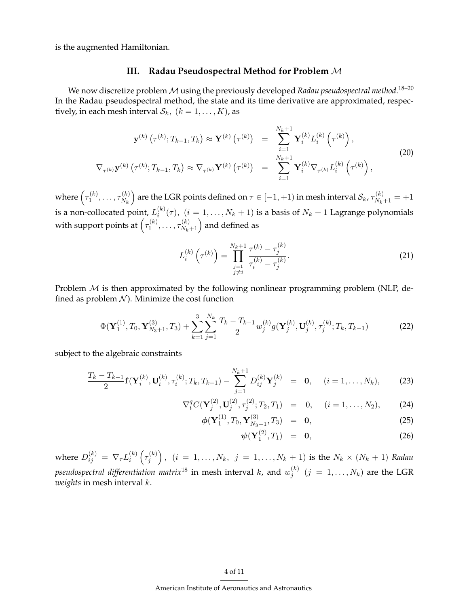is the augmented Hamiltonian.

## **III. Radau Pseudospectral Method for Problem** M

We now discretize problem  ${\cal M}$  using the previously developed *Radau pseudospectral method*. $^{18-20}$ In the Radau pseudospectral method, the state and its time derivative are approximated, respectively, in each mesh interval  $S_k$ ,  $(k = 1, \ldots, K)$ , as

$$
\mathbf{y}^{(k)}\left(\tau^{(k)}; T_{k-1}, T_k\right) \approx \mathbf{Y}^{(k)}\left(\tau^{(k)}\right) = \sum_{i=1}^{N_k+1} \mathbf{Y}_i^{(k)} L_i^{(k)}\left(\tau^{(k)}\right),
$$
\n
$$
\nabla_{\tau^{(k)}} \mathbf{y}^{(k)}\left(\tau^{(k)}; T_{k-1}, T_k\right) \approx \nabla_{\tau^{(k)}} \mathbf{Y}^{(k)}\left(\tau^{(k)}\right) = \sum_{i=1}^{N_k+1} \mathbf{Y}_i^{(k)} \nabla_{\tau^{(k)}} L_i^{(k)}\left(\tau^{(k)}\right),
$$
\n(20)

where  $\left(\tau_1^{(k)}\right)$  $\tau_1^{(k)},\ldots,\tau_{N_k}^{(k)}$  $\binom{(k)}{N_k}$  are the LGR points defined on  $\tau \in [-1,+1)$  in mesh interval  $\mathcal{S}_k$ ,  $\tau^{(k)}_{N_k+1} = +1$ is a non-collocated point,  $L_i^{(k)}$  $i^{(k)}(\tau)$ ,  $(i = 1, \ldots, N_k + 1)$  is a basis of  $N_k + 1$  Lagrange polynomials with support points at  $\left(\tau_1^{(k)}\right)$  $\tau_1^{(k)},\ldots,\tau_{N_k+1}^{(k)}\Big)$  and defined as

$$
L_i^{(k)}\left(\tau^{(k)}\right) = \prod_{\substack{j=1\\j\neq i}}^{N_k+1} \frac{\tau^{(k)} - \tau_j^{(k)}}{\tau_i^{(k)} - \tau_j^{(k)}}.\tag{21}
$$

Problem  $M$  is then approximated by the following nonlinear programming problem (NLP, defined as problem  $N$ ). Minimize the cost function

$$
\Phi(\mathbf{Y}_1^{(1)}, T_0, \mathbf{Y}_{N_3+1}^{(3)}, T_3) + \sum_{k=1}^3 \sum_{j=1}^{N_k} \frac{T_k - T_{k-1}}{2} w_j^{(k)} g(\mathbf{Y}_j^{(k)}, \mathbf{U}_j^{(k)}, \tau_j^{(k)}; T_k, T_{k-1})
$$
(22)

subject to the algebraic constraints

$$
\frac{T_k - T_{k-1}}{2} \mathbf{f}(\mathbf{Y}_i^{(k)}, \mathbf{U}_i^{(k)}, \tau_i^{(k)}; T_k, T_{k-1}) - \sum_{j=1}^{N_k+1} D_{ij}^{(k)} \mathbf{Y}_j^{(k)} = \mathbf{0}, \quad (i = 1, ..., N_k),
$$
 (23)

$$
\nabla_i^q C(\mathbf{Y}_j^{(2)}, \mathbf{U}_j^{(2)}, \tau_j^{(2)}; T_2, T_1) = 0, \quad (i = 1, \dots, N_2), \tag{24}
$$

$$
\phi(\mathbf{Y}_1^{(1)}, T_0, \mathbf{Y}_{N_3+1}^{(3)}, T_3) = \mathbf{0}, \qquad (25)
$$

$$
\psi(\mathbf{Y}_1^{(2)},T_1) = \mathbf{0}, \tag{26}
$$

where  $D_{ij}^{(k)} \, = \, \nabla_{\tau} L_i^{(k)}$  $\binom{k}{i}\left(\tau_j^{(k)}\right)$  $\left( j \atop j \right)$  ,  $(i = 1, \ldots, N_k, \; j = 1, \ldots, N_k + 1)$  is the  $N_k \times (N_k + 1)$  Radau pseudospectral differentiation matrix $^{18}$  in mesh interval  $k$ , and  $w_{j}^{(k)}$  $j_j^{(k)}$   $(j = 1, \ldots, N_k)$  are the LGR *weights* in mesh interval k.

### 4 of 11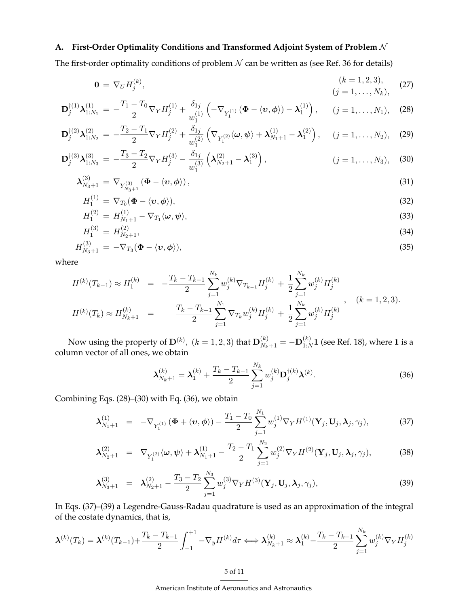## **A. First-Order Optimality Conditions and Transformed Adjoint System of Problem** N

The first-order optimality conditions of problem  $N$  can be written as (see Ref. 36 for details)

$$
\mathbf{0} = \nabla_U H_j^{(k)}, \qquad (k = 1, 2, 3), \qquad (27)
$$
\n
$$
(j = 1, \dots, N_k), \qquad (28)
$$

$$
\mathbf{D}_{j}^{\dagger(1)}\boldsymbol{\lambda}_{1:N_{1}}^{(1)} = -\frac{T_{1}-T_{0}}{2}\nabla_{Y}H_{j}^{(1)} + \frac{\delta_{1j}}{w_{1}^{(1)}}\left(-\nabla_{Y_{1}^{(1)}}\left(\boldsymbol{\Phi}-\langle\boldsymbol{v},\boldsymbol{\phi}\rangle\rangle-\boldsymbol{\lambda}_{1}^{(1)}\right), \qquad (j=1,\ldots,N_{1}), \quad (28)
$$

$$
\mathbf{D}_{j}^{\dagger(2)}\boldsymbol{\lambda}_{1:N_{2}}^{(2)} = -\frac{T_{2}-T_{1}}{2}\nabla_{Y}H_{j}^{(2)} + \frac{\delta_{1j}}{w_{1}^{(2)}}\left(\nabla_{Y_{1}^{(2)}}\langle\boldsymbol{\omega},\boldsymbol{\psi}\rangle + \boldsymbol{\lambda}_{N_{1}+1}^{(1)} - \boldsymbol{\lambda}_{1}^{(2)}\right), \quad (j=1,\ldots,N_{2}), \quad (29)
$$

$$
\mathbf{D}_{j}^{\dagger(3)}\boldsymbol{\lambda}_{1:N_3}^{(3)} = -\frac{T_3 - T_2}{2}\nabla_Y H_j^{(3)} - \frac{\delta_{1j}}{w_1^{(3)}}\left(\boldsymbol{\lambda}_{N_2+1}^{(2)} - \boldsymbol{\lambda}_1^{(3)}\right), \qquad (j = 1, ..., N_3), \quad (30)
$$

$$
\lambda_{N_3+1}^{(3)} = \nabla_{Y_{N_3+1}^{(3)}} (\Phi - \langle v, \phi \rangle), \tag{31}
$$

$$
H_1^{(1)} = \nabla_{T_0} (\Phi - \langle v, \phi \rangle), \tag{32}
$$

$$
H_1^{(2)} = H_{N_1+1}^{(1)} - \nabla_{T_1} \langle \omega, \psi \rangle,
$$
\n(33)

$$
H_1^{(3)} = H_{N_2+1}^{(2)},\tag{34}
$$

$$
H_{N_3+1}^{(3)} = -\nabla_{T_3}(\mathbf{\Phi} - \langle v, \phi \rangle), \tag{35}
$$

where

$$
H^{(k)}(T_{k-1}) \approx H_1^{(k)} = -\frac{T_k - T_{k-1}}{2} \sum_{j=1}^{N_k} w_j^{(k)} \nabla_{T_{k-1}} H_j^{(k)} + \frac{1}{2} \sum_{j=1}^{N_k} w_j^{(k)} H_j^{(k)}
$$
  

$$
H^{(k)}(T_k) \approx H_{N_k+1}^{(k)} = \frac{T_k - T_{k-1}}{2} \sum_{j=1}^{N_1} \nabla_{T_k} w_j^{(k)} H_j^{(k)} + \frac{1}{2} \sum_{j=1}^{N_k} w_j^{(k)} H_j^{(k)}, \qquad (k = 1, 2, 3).
$$

Now using the property of  $\mathbf{D}^{(k)}$ ,  $(k = 1, 2, 3)$  that  $\mathbf{D}_{N_k+1}^{(k)} = -\mathbf{D}_{1:N}^{(k)}$  $_{1:N}^{(k)}$ 1 (see Ref. 18), where 1 is a column vector of all ones, we obtain

$$
\lambda_{N_k+1}^{(k)} = \lambda_1^{(k)} + \frac{T_k - T_{k-1}}{2} \sum_{j=1}^{N_k} w_j^{(k)} \mathbf{D}_j^{\dagger(k)} \lambda^{(k)}.
$$
 (36)

Combining Eqs. (28)–(30) with Eq. (36), we obtain

$$
\lambda_{N_1+1}^{(1)} = -\nabla_{Y_1^{(1)}} (\Phi + \langle v, \phi \rangle) - \frac{T_1 - T_0}{2} \sum_{j=1}^{N_1} w_j^{(1)} \nabla_Y H^{(1)}(\mathbf{Y}_j, \mathbf{U}_j, \lambda_j, \gamma_j), \tag{37}
$$

$$
\lambda_{N_2+1}^{(2)} = \nabla_{Y_1^{(2)}} \langle \omega, \psi \rangle + \lambda_{N_1+1}^{(1)} - \frac{T_2 - T_1}{2} \sum_{j=1}^{N_2} w_j^{(2)} \nabla_Y H^{(2)}(\mathbf{Y}_j, \mathbf{U}_j, \lambda_j, \gamma_j), \tag{38}
$$

$$
\boldsymbol{\lambda}_{N_3+1}^{(3)} = \boldsymbol{\lambda}_{N_2+1}^{(2)} - \frac{T_3 - T_2}{2} \sum_{j=1}^{N_3} w_j^{(3)} \nabla_Y H^{(3)}(\mathbf{Y}_j, \mathbf{U}_j, \boldsymbol{\lambda}_j, \gamma_j), \tag{39}
$$

In Eqs. (37)–(39) a Legendre-Gauss-Radau quadrature is used as an approximation of the integral of the costate dynamics, that is,

$$
\boldsymbol{\lambda}^{(k)}(T_k) = \boldsymbol{\lambda}^{(k)}(T_{k-1}) + \frac{T_k - T_{k-1}}{2} \int_{-1}^{+1} -\nabla_y H^{(k)} d\tau \Longleftrightarrow \boldsymbol{\lambda}_{N_k+1}^{(k)} \approx \boldsymbol{\lambda}_1^{(k)} - \frac{T_k - T_{k-1}}{2} \sum_{j=1}^{N_k} w_j^{(k)} \nabla_Y H_j^{(k)}
$$

American Institute of Aeronautics and Astronautics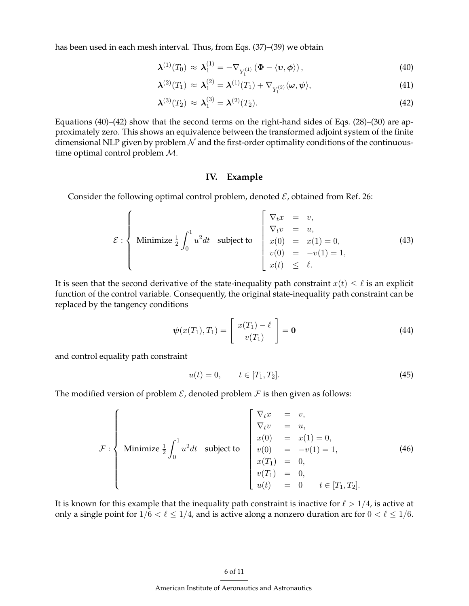has been used in each mesh interval. Thus, from Eqs. (37)–(39) we obtain

$$
\boldsymbol{\lambda}^{(1)}(T_0) \approx \boldsymbol{\lambda}_1^{(1)} = -\nabla_{Y_1^{(1)}} \left(\boldsymbol{\Phi} - \langle \boldsymbol{v}, \boldsymbol{\phi} \rangle\right),\tag{40}
$$

$$
\boldsymbol{\lambda}^{(2)}(T_1) \approx \boldsymbol{\lambda}_1^{(2)} = \boldsymbol{\lambda}^{(1)}(T_1) + \nabla_{Y_1^{(2)}} \langle \boldsymbol{\omega}, \boldsymbol{\psi} \rangle, \tag{41}
$$

$$
\boldsymbol{\lambda}^{(3)}(T_2) \approx \boldsymbol{\lambda}_1^{(3)} = \boldsymbol{\lambda}^{(2)}(T_2). \tag{42}
$$

Equations (40)–(42) show that the second terms on the right-hand sides of Eqs. (28)–(30) are approximately zero. This shows an equivalence between the transformed adjoint system of the finite dimensional NLP given by problem  $N$  and the first-order optimality conditions of the continuoustime optimal control problem M.

## **IV. Example**

Consider the following optimal control problem, denoted  $\mathcal{E}$ , obtained from Ref. 26:

$$
\mathcal{E} : \left\{ \begin{array}{ll}\text{Minimize } \frac{1}{2} \int_0^1 u^2 dt & \text{subject to} \\ v(t) = u, \\ v(0) = x(1) = 0, \\ v(t) = -v(1) = 1, \end{array} \right. \tag{43}
$$

It is seen that the second derivative of the state-inequality path constraint  $x(t) \leq \ell$  is an explicit function of the control variable. Consequently, the original state-inequality path constraint can be replaced by the tangency conditions

$$
\boldsymbol{\psi}(x(T_1), T_1) = \begin{bmatrix} x(T_1) - \ell \\ v(T_1) \end{bmatrix} = \mathbf{0}
$$
\n(44)

and control equality path constraint

$$
u(t) = 0, \qquad t \in [T_1, T_2]. \tag{45}
$$

The modified version of problem  $\mathcal E$ , denoted problem  $\mathcal F$  is then given as follows:

$$
\mathcal{F}: \left\{\begin{array}{rcl}\n\sum_{t} x & = & v, \\
\nabla_{t} v & = & u, \\
x(0) & = & x(1) = 0, \\
v(0) & = & -v(1) = 1, \\
x(T_1) & = & 0, \\
v(T_1) & = & 0, \\
u(t) & = & 0\n\end{array}\right.\n\tag{46}
$$

It is known for this example that the inequality path constraint is inactive for  $\ell > 1/4$ , is active at only a single point for  $1/6 < \ell \leq 1/4$ , and is active along a nonzero duration arc for  $0 < \ell \leq 1/6$ .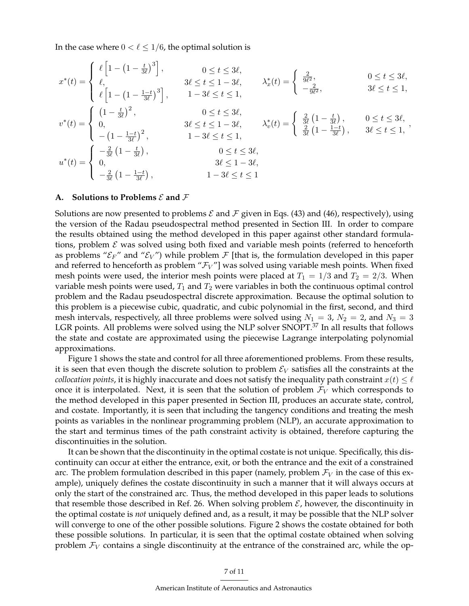In the case where  $0 < \ell \leq 1/6$ , the optimal solution is

$$
x^*(t) = \begin{cases} \ell \left[ 1 - \left( 1 - \frac{t}{3\ell} \right)^3 \right], & 0 \le t \le 3\ell, \\ \ell, & 3\ell \le t \le 1 - 3\ell, \\ \ell \left[ 1 - \left( 1 - \frac{1-t}{3\ell} \right)^3 \right], & 1 - 3\ell \le t \le 1, \end{cases} \qquad \lambda_x^*(t) = \begin{cases} \frac{2}{9\ell^2}, & 0 \le t \le 3\ell, \\ -\frac{2}{9\ell^2}, & 3\ell \le t \le 1, \end{cases}
$$

$$
v^*(t) = \begin{cases} (1 - \frac{t}{3\ell})^2, & 0 \le t \le 3\ell, \\ 0, & 3\ell \le t \le 1 - 3\ell, \\ -(1 - \frac{1-t}{3\ell})^2, & 1 - 3\ell \le t \le 1, \end{cases} \qquad \lambda_v^*(t) = \begin{cases} \frac{2}{3\ell} \left(1 - \frac{t}{3\ell}\right), & 0 \le t \le 3\ell, \\ \frac{2}{3\ell} \left(1 - \frac{1-t}{3\ell}\right), & 3\ell \le t \le 1, \\ \frac{2}{3\ell} \left(1 - \frac{1-t}{3\ell}\right), & 0 \le t \le 3\ell, \\ 0, & 3\ell \le 1 - 3\ell, \\ -\frac{2}{3\ell} \left(1 - \frac{1-t}{3\ell}\right), & 1 - 3\ell \le t \le 1 \end{cases},
$$

### **A.** Solutions to Problems  $\mathcal E$  and  $\mathcal F$

Solutions are now presented to problems  $\mathcal E$  and  $\mathcal F$  given in Eqs. (43) and (46), respectively), using the version of the Radau pseudospectral method presented in Section III. In order to compare the results obtained using the method developed in this paper against other standard formulations, problem  $\mathcal E$  was solved using both fixed and variable mesh points (referred to henceforth as problems " $\mathcal{E}_F$ " and " $\mathcal{E}_V$ ") while problem  $\mathcal F$  [that is, the formulation developed in this paper and referred to henceforth as problem " $\mathcal{F}_V$ "] was solved using variable mesh points. When fixed mesh points were used, the interior mesh points were placed at  $T_1 = 1/3$  and  $T_2 = 2/3$ . When variable mesh points were used,  $T_1$  and  $T_2$  were variables in both the continuous optimal control problem and the Radau pseudospectral discrete approximation. Because the optimal solution to this problem is a piecewise cubic, quadratic, and cubic polynomial in the first, second, and third mesh intervals, respectively, all three problems were solved using  $N_1 = 3$ ,  $N_2 = 2$ , and  $N_3 = 3$ LGR points. All problems were solved using the NLP solver SNOPT.<sup>37</sup> In all results that follows the state and costate are approximated using the piecewise Lagrange interpolating polynomial approximations.

Figure 1 shows the state and control for all three aforementioned problems. From these results, it is seen that even though the discrete solution to problem  $\mathcal{E}_V$  satisfies all the constraints at the *collocation points*, it is highly inaccurate and does not satisfy the inequality path constraint  $x(t) \leq \ell$ once it is interpolated. Next, it is seen that the solution of problem  $\mathcal{F}_V$  which corresponds to the method developed in this paper presented in Section III, produces an accurate state, control, and costate. Importantly, it is seen that including the tangency conditions and treating the mesh points as variables in the nonlinear programming problem (NLP), an accurate approximation to the start and terminus times of the path constraint activity is obtained, therefore capturing the discontinuities in the solution.

It can be shown that the discontinuity in the optimal costate is not unique. Specifically, this discontinuity can occur at either the entrance, exit, or both the entrance and the exit of a constrained arc. The problem formulation described in this paper (namely, problem  $\mathcal{F}_V$  in the case of this example), uniquely defines the costate discontinuity in such a manner that it will always occurs at only the start of the constrained arc. Thus, the method developed in this paper leads to solutions that resemble those described in Ref. 26. When solving problem  $\mathcal{E}$ , however, the discontinuity in the optimal costate is *not* uniquely defined and, as a result, it may be possible that the NLP solver will converge to one of the other possible solutions. Figure 2 shows the costate obtained for both these possible solutions. In particular, it is seen that the optimal costate obtained when solving problem  $\mathcal{F}_V$  contains a single discontinuity at the entrance of the constrained arc, while the op-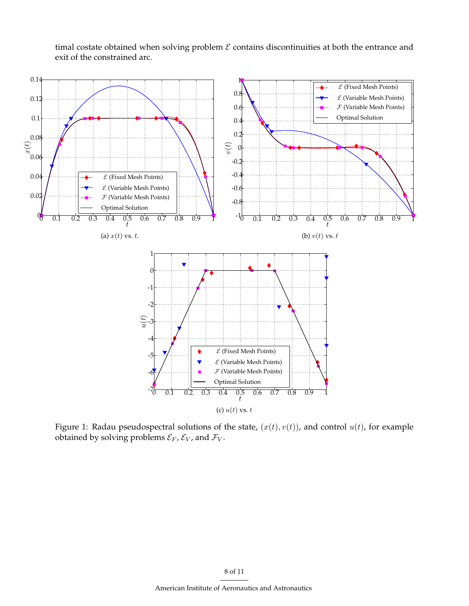timal costate obtained when solving problem  $\mathcal E$  contains discontinuities at both the entrance and exit of the constrained arc.



Figure 1: Radau pseudospectral solutions of the state,  $(x(t), v(t))$ , and control  $u(t)$ , for example obtained by solving problems  $\mathcal{E}_F$ ,  $\mathcal{E}_V$ , and  $\mathcal{F}_V$ .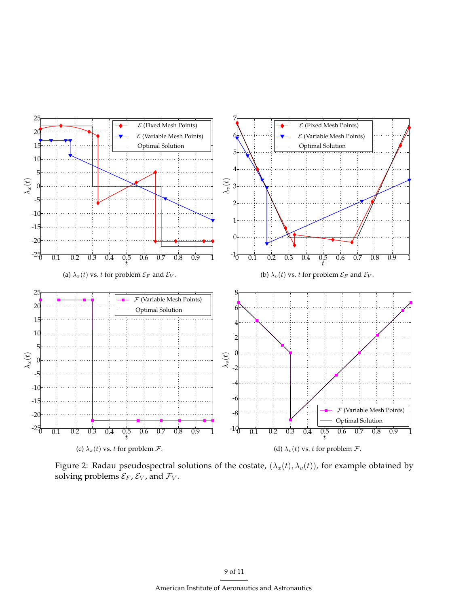

Figure 2: Radau pseudospectral solutions of the costate,  $(\lambda_x(t), \lambda_v(t))$ , for example obtained by solving problems  $\mathcal{E}_F$ ,  $\mathcal{E}_V$ , and  $\mathcal{F}_V$ .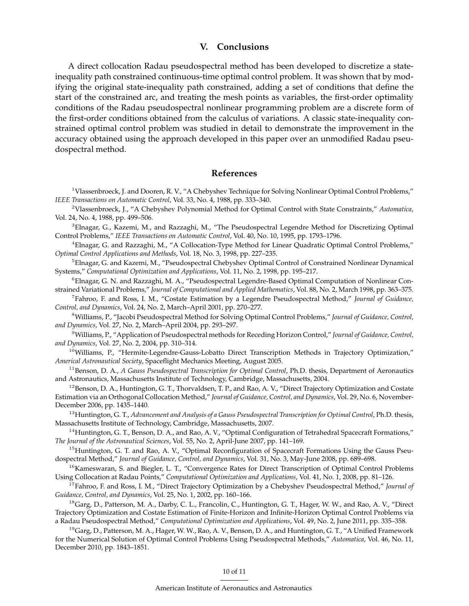## **V. Conclusions**

A direct collocation Radau pseudospectral method has been developed to discretize a stateinequality path constrained continuous-time optimal control problem. It was shown that by modifying the original state-inequality path constrained, adding a set of conditions that define the start of the constrained arc, and treating the mesh points as variables, the first-order optimality conditions of the Radau pseudospectral nonlinear programming problem are a discrete form of the first-order conditions obtained from the calculus of variations. A classic state-inequality constrained optimal control problem was studied in detail to demonstrate the improvement in the accuracy obtained using the approach developed in this paper over an unmodified Radau pseudospectral method.

## **References**

<sup>1</sup>Vlassenbroeck, J. and Dooren, R. V., "A Chebyshev Technique for Solving Nonlinear Optimal Control Problems," *IEEE Transactions on Automatic Control*, Vol. 33, No. 4, 1988, pp. 333–340.

<sup>2</sup>Vlassenbroeck, J., "A Chebyshev Polynomial Method for Optimal Control with State Constraints," *Automatica*, Vol. 24, No. 4, 1988, pp. 499–506.

 $3$ Elnagar, G., Kazemi, M., and Razzaghi, M., "The Pseudospectral Legendre Method for Discretizing Optimal Control Problems," *IEEE Transactions on Automatic Control*, Vol. 40, No. 10, 1995, pp. 1793–1796.

<sup>4</sup>Elnagar, G. and Razzaghi, M., "A Collocation-Type Method for Linear Quadratic Optimal Control Problems," *Optimal Control Applications and Methods*, Vol. 18, No. 3, 1998, pp. 227–235.

 $^5$ Elnagar, G. and Kazemi, M., "Pseudospectral Chebyshev Optimal Control of Constrained Nonlinear Dynamical Systems," *Computational Optimization and Applications*, Vol. 11, No. 2, 1998, pp. 195–217.

 $6E$ lnagar, G. N. and Razzaghi, M. A., "Pseudospectral Legendre-Based Optimal Computation of Nonlinear Constrained Variational Problems," *Journal of Computational and Applied Mathematics*, Vol. 88, No. 2, March 1998, pp. 363–375.

7 Fahroo, F. and Ross, I. M., "Costate Estimation by a Legendre Pseudospectral Method," *Journal of Guidance, Control, and Dynamics*, Vol. 24, No. 2, March–April 2001, pp. 270–277.

<sup>8</sup>Williams, P., "Jacobi Pseudospectral Method for Solving Optimal Control Problems," *Journal of Guidance, Control, and Dynamics*, Vol. 27, No. 2, March–April 2004, pp. 293–297.

<sup>9</sup>Williams, P., "Application of Pseudospectral methods for Receding Horizon Control," *Journal of Guidance, Control, and Dynamics*, Vol. 27, No. 2, 2004, pp. 310–314.

 $10$ Williams, P., "Hermite-Legendre-Gauss-Lobatto Direct Transcription Methods in Trajectory Optimization," *Americal Astronautical Society*, Spaceflight Mechanics Meeting, August 2005.

<sup>11</sup> Benson, D. A., *A Gauss Pseudospectral Transcription for Optimal Control*, Ph.D. thesis, Department of Aeronautics and Astronautics, Massachusetts Institute of Technology, Cambridge, Massachusetts, 2004.

 $12$ Benson, D. A., Huntington, G. T., Thorvaldsen, T. P., and Rao, A. V., "Direct Trajectory Optimization and Costate Estimation via an Orthogonal Collocation Method," *Journal of Guidance, Control, and Dynamics*, Vol. 29, No. 6, November-December 2006, pp. 1435–1440.

<sup>13</sup>Huntington, G. T., *Advancement and Analysis of a Gauss Pseudospectral Transcription for Optimal Control*, Ph.D. thesis, Massachusetts Institute of Technology, Cambridge, Massachusetts, 2007.

<sup>14</sup>Huntington, G. T., Benson, D. A., and Rao, A. V., "Optimal Configuration of Tetrahedral Spacecraft Formations," *The Journal of the Astronautical Sciences*, Vol. 55, No. 2, April-June 2007, pp. 141–169.

 $15$ Huntington, G. T. and Rao, A. V., "Optimal Reconfiguration of Spacecraft Formations Using the Gauss Pseudospectral Method," *Journal of Guidance, Control, and Dynamics*, Vol. 31, No. 3, May-June 2008, pp. 689–698.

<sup>16</sup>Kameswaran, S. and Biegler, L. T., "Convergence Rates for Direct Transcription of Optimal Control Problems Using Collocation at Radau Points," *Computational Optimization and Applications*, Vol. 41, No. 1, 2008, pp. 81–126.

<sup>17</sup>Fahroo, F. and Ross, I. M., "Direct Trajectory Optimization by a Chebyshev Pseudospectral Method," *Journal of Guidance, Control, and Dynamics*, Vol. 25, No. 1, 2002, pp. 160–166.

<sup>18</sup>Garg, D., Patterson, M. A., Darby, C. L., Francolin, C., Huntington, G. T., Hager, W. W., and Rao, A. V., "Direct Trajectory Optimization and Costate Estimation of Finite-Horizon and Infinite-Horizon Optimal Control Problems via a Radau Pseudospectral Method," *Computational Optimization and Applications*, Vol. 49, No. 2, June 2011, pp. 335–358.

<sup>19</sup>Garg, D., Patterson, M. A., Hager, W. W., Rao, A. V., Benson, D. A., and Huntington, G. T., "A Unified Framework for the Numerical Solution of Optimal Control Problems Using Pseudospectral Methods," *Automatica*, Vol. 46, No. 11, December 2010, pp. 1843–1851.

#### 10 of 11